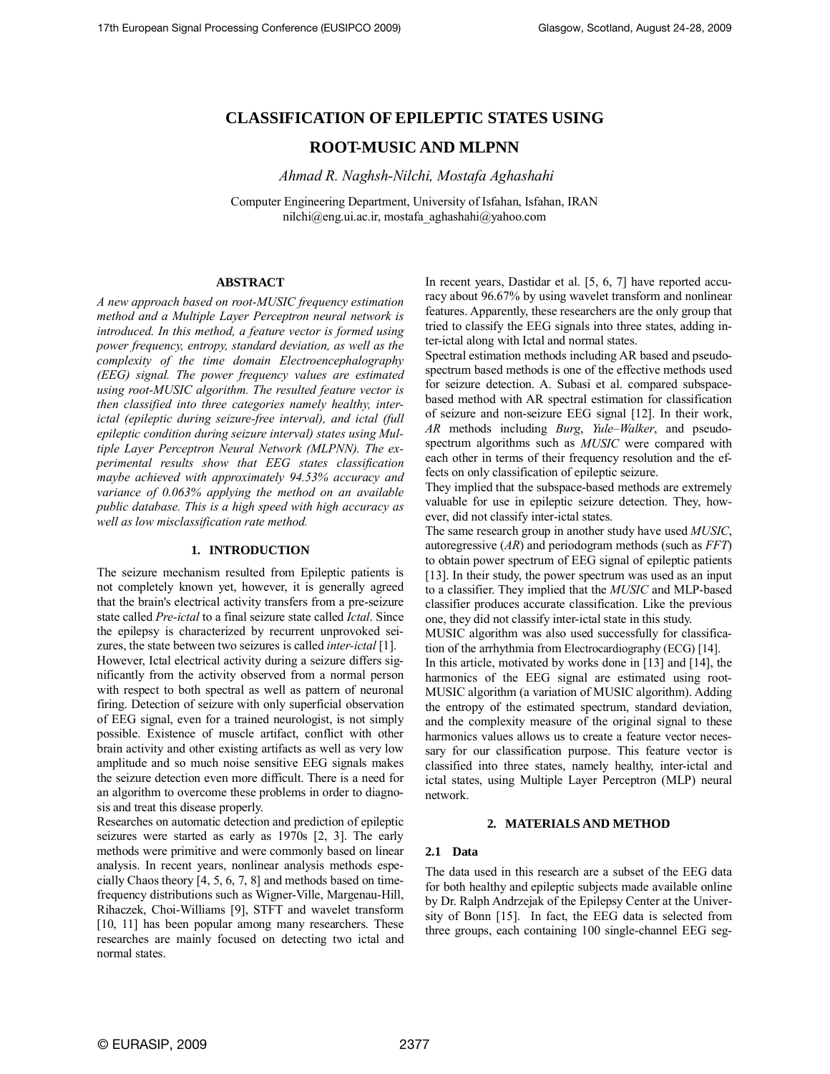# **CLASSIFICATION OF EPILEPTIC STATES USING**

# **ROOT-MUSIC AND MLPNN**

*Ahmad R. Naghsh-Nilchi, Mostafa Aghashahi*

Computer Engineering Department, University of Isfahan, Isfahan, IRAN nilchi@eng.ui.ac.ir, mostafa\_aghashahi@yahoo.com

# **ABSTRACT**

*A new approach based on root-MUSIC frequency estimation method and a Multiple Layer Perceptron neural network is introduced. In this method, a feature vector is formed using power frequency, entropy, standard deviation, as well as the complexity of the time domain Electroencephalography (EEG) signal. The power frequency values are estimated using root-MUSIC algorithm. The resulted feature vector is then classified into three categories namely healthy, interictal (epileptic during seizure-free interval), and ictal (full epileptic condition during seizure interval) states using Multiple Layer Perceptron Neural Network (MLPNN). The experimental results show that EEG states classification maybe achieved with approximately 94.53% accuracy and variance of 0.063% applying the method on an available public database. This is a high speed with high accuracy as well as low misclassification rate method.*

# **1. INTRODUCTION**

The seizure mechanism resulted from Epileptic patients is not completely known yet, however, it is generally agreed that the brain's electrical activity transfers from a pre-seizure state called *Pre-ictal* to a final seizure state called *Ictal*. Since the epilepsy is characterized by recurrent unprovoked seizures, the state between two seizures is called *inter-ictal* [1].

However, Ictal electrical activity during a seizure differs significantly from the activity observed from a normal person with respect to both spectral as well as pattern of neuronal firing. Detection of seizure with only superficial observation of EEG signal, even for a trained neurologist, is not simply possible. Existence of muscle artifact, conflict with other brain activity and other existing artifacts as well as very low amplitude and so much noise sensitive EEG signals makes the seizure detection even more difficult. There is a need for an algorithm to overcome these problems in order to diagnosis and treat this disease properly.

Researches on automatic detection and prediction of epileptic seizures were started as early as 1970s [2, 3]. The early methods were primitive and were commonly based on linear analysis. In recent years, nonlinear analysis methods especially Chaos theory [4, 5, 6, 7, 8] and methods based on timefrequency distributions such as Wigner-Ville, Margenau-Hill, Rihaczek, Choi-Williams [9], STFT and wavelet transform [10, 11] has been popular among many researchers. These researches are mainly focused on detecting two ictal and normal states.

In recent years, Dastidar et al. [5, 6, 7] have reported accuracy about 96.67% by using wavelet transform and nonlinear features. Apparently, these researchers are the only group that tried to classify the EEG signals into three states, adding inter-ictal along with Ictal and normal states.

Spectral estimation methods including AR based and pseudospectrum based methods is one of the effective methods used for seizure detection. A. Subasi et al. compared subspacebased method with AR spectral estimation for classification of seizure and non-seizure EEG signal [12]. In their work, *AR* methods including *Burg*, *Yule–Walker*, and pseudospectrum algorithms such as *MUSIC* were compared with each other in terms of their frequency resolution and the effects on only classification of epileptic seizure.

They implied that the subspace-based methods are extremely valuable for use in epileptic seizure detection. They, however, did not classify inter-ictal states.

The same research group in another study have used *MUSIC*, autoregressive (*AR*) and periodogram methods (such as *FFT*) to obtain power spectrum of EEG signal of epileptic patients [13]. In their study, the power spectrum was used as an input to a classifier. They implied that the *MUSIC* and MLP-based classifier produces accurate classification. Like the previous one, they did not classify inter-ictal state in this study.

MUSIC algorithm was also used successfully for classification of the arrhythmia from Electrocardiography (ECG) [14].

In this article, motivated by works done in [13] and [14], the harmonics of the EEG signal are estimated using root-MUSIC algorithm (a variation of MUSIC algorithm). Adding the entropy of the estimated spectrum, standard deviation, and the complexity measure of the original signal to these harmonics values allows us to create a feature vector necessary for our classification purpose. This feature vector is classified into three states, namely healthy, inter-ictal and ictal states, using Multiple Layer Perceptron (MLP) neural network.

# **2. MATERIALS AND METHOD**

# **2.1 Data**

The data used in this research are a subset of the EEG data for both healthy and epileptic subjects made available online by Dr. Ralph Andrzejak of the Epilepsy Center at the University of Bonn [15]. In fact, the EEG data is selected from three groups, each containing 100 single-channel EEG seg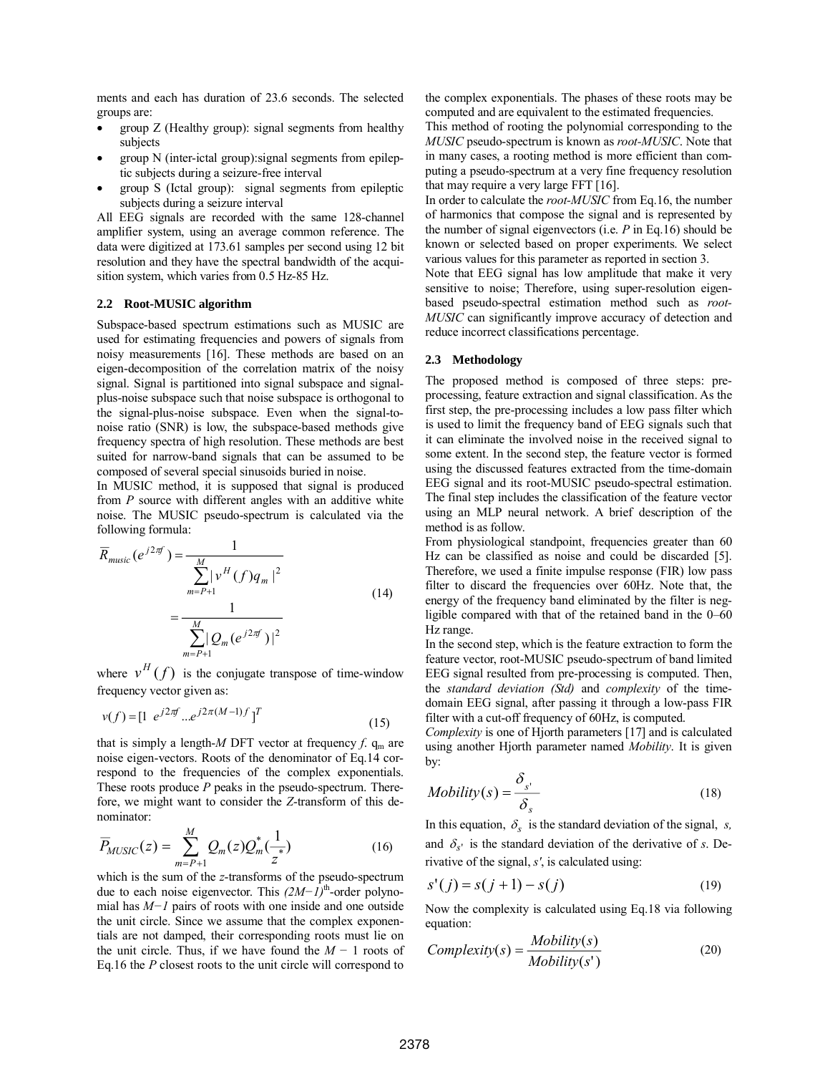ments and each has duration of 23.6 seconds. The selected groups are:

- group Z (Healthy group): signal segments from healthy subjects
- group N (inter-ictal group):signal segments from epileptic subjects during a seizure-free interval
- group S (Ictal group): signal segments from epileptic subjects during a seizure interval

All EEG signals are recorded with the same 128-channel amplifier system, using an average common reference. The data were digitized at 173.61 samples per second using 12 bit resolution and they have the spectral bandwidth of the acquisition system, which varies from 0.5 Hz-85 Hz.

# **2.2 Root-MUSIC algorithm**

Subspace-based spectrum estimations such as MUSIC are used for estimating frequencies and powers of signals from noisy measurements [16]. These methods are based on an eigen-decomposition of the correlation matrix of the noisy signal. Signal is partitioned into signal subspace and signalplus-noise subspace such that noise subspace is orthogonal to the signal-plus-noise subspace. Even when the signal-tonoise ratio (SNR) is low, the subspace-based methods give frequency spectra of high resolution. These methods are best suited for narrow-band signals that can be assumed to be composed of several special sinusoids buried in noise.

In MUSIC method, it is supposed that signal is produced from *P* source with different angles with an additive white noise. The MUSIC pseudo-spectrum is calculated via the following formula:

$$
\overline{R}_{musc}(e^{j2\pi f}) = \frac{1}{\sum_{m=P+1}^{M} |\nu^H(f)q_m|^2}
$$
\n
$$
= \frac{1}{\sum_{m=P+1}^{M} |Q_m(e^{j2\pi f})|^2}
$$
\n(14)

where  $v^H(f)$  is the conjugate transpose of time-window frequency vector given as:

$$
v(f) = \begin{bmatrix} 1 & e^{j2\pi f} & e^{j2\pi (M-1)f} \end{bmatrix}^T
$$
 (15)

that is simply a length-*M* DFT vector at frequency  $f$ .  $q_m$  are noise eigen-vectors. Roots of the denominator of Eq.14 correspond to the frequencies of the complex exponentials. These roots produce *P* peaks in the pseudo-spectrum. Therefore, we might want to consider the *Z*-transform of this denominator:

$$
\overline{P}_{MUSIC}(z) = \sum_{m=P+1}^{M} Q_m(z) Q_m^*(\frac{1}{z^*})
$$
\n(16)

which is the sum of the *z*-transforms of the pseudo-spectrum due to each noise eigenvector. This  $(2M−1)$ <sup>th</sup>-order polynomial has *M−1* pairs of roots with one inside and one outside the unit circle. Since we assume that the complex exponentials are not damped, their corresponding roots must lie on the unit circle. Thus, if we have found the *M* − 1 roots of Eq.16 the *P* closest roots to the unit circle will correspond to

the complex exponentials. The phases of these roots may be computed and are equivalent to the estimated frequencies.

This method of rooting the polynomial corresponding to the *MUSIC* pseudo-spectrum is known as *root-MUSIC*. Note that in many cases, a rooting method is more efficient than computing a pseudo-spectrum at a very fine frequency resolution that may require a very large FFT [16].

In order to calculate the *root-MUSIC* from Eq.16, the number of harmonics that compose the signal and is represented by the number of signal eigenvectors (i.e. *P* in Eq.16) should be known or selected based on proper experiments. We select various values for this parameter as reported in section 3.

Note that EEG signal has low amplitude that make it very sensitive to noise; Therefore, using super-resolution eigenbased pseudo-spectral estimation method such as *root-MUSIC* can significantly improve accuracy of detection and reduce incorrect classifications percentage.

## **2.3 Methodology**

The proposed method is composed of three steps: preprocessing, feature extraction and signal classification. As the first step, the pre-processing includes a low pass filter which is used to limit the frequency band of EEG signals such that it can eliminate the involved noise in the received signal to some extent. In the second step, the feature vector is formed using the discussed features extracted from the time-domain EEG signal and its root-MUSIC pseudo-spectral estimation. The final step includes the classification of the feature vector using an MLP neural network. A brief description of the method is as follow.

From physiological standpoint, frequencies greater than 60 Hz can be classified as noise and could be discarded [5]. Therefore, we used a finite impulse response (FIR) low pass filter to discard the frequencies over 60Hz. Note that, the energy of the frequency band eliminated by the filter is negligible compared with that of the retained band in the 0–60 Hz range.

In the second step, which is the feature extraction to form the feature vector, root-MUSIC pseudo-spectrum of band limited EEG signal resulted from pre-processing is computed. Then, the *standard deviation (Std)* and *complexity* of the timedomain EEG signal, after passing it through a low-pass FIR filter with a cut-off frequency of 60Hz, is computed.

*Complexity* is one of Hjorth parameters [17] and is calculated using another Hjorth parameter named *Mobility*. It is given by:

$$
Mobility(s) = \frac{\delta_{s'}}{\delta_s}
$$
 (18)

In this equation,  $\delta_s$  is the standard deviation of the signal, *s*, and  $\delta_{s'}$  is the standard deviation of the derivative of *s*. Derivative of the signal, *s'*, is calculated using:

$$
s'(j) = s(j + 1) - s(j)
$$
 (19)

Now the complexity is calculated using Eq.18 via following equation:

Complexity(s) = 
$$
\frac{Mobility(s)}{Mobility(s')}
$$
 (20)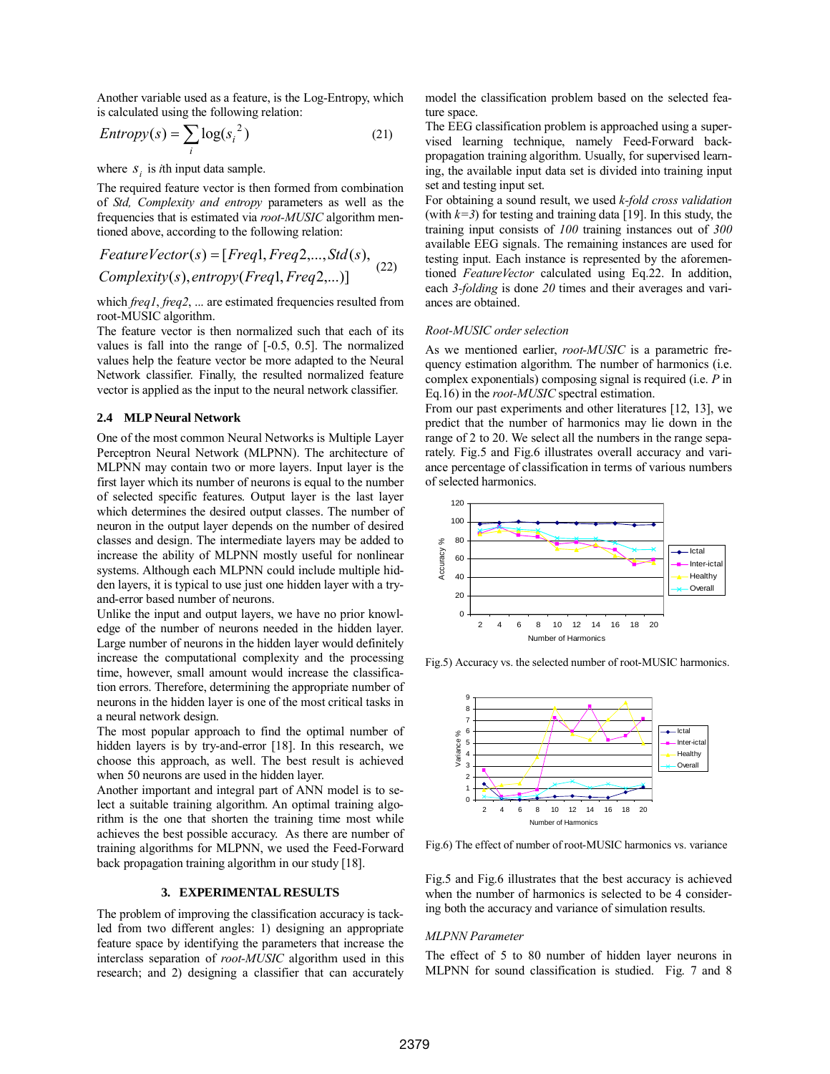Another variable used as a feature, is the Log-Entropy, which is calculated using the following relation:

$$
Entropy(s) = \sum_{i} \log(s_i^2)
$$
 (21)

where  $S_i$  is *i*th input data sample.

The required feature vector is then formed from combination of *Std, Complexity and entropy* parameters as well as the frequencies that is estimated via *root-MUSIC* algorithm mentioned above, according to the following relation:

$$
FeatureVector(s) = [Freq1,Freq2, \ldots, Std(s),\
$$
  
Complexity(s), entropy(Freq1,Freq2, \ldots)] (22)

which *freq1*, *freq2*, ... are estimated frequencies resulted from root-MUSIC algorithm.

The feature vector is then normalized such that each of its values is fall into the range of [-0.5, 0.5]. The normalized values help the feature vector be more adapted to the Neural Network classifier. Finally, the resulted normalized feature vector is applied as the input to the neural network classifier.

#### **2.4 MLP Neural Network**

One of the most common Neural Networks is Multiple Layer Perceptron Neural Network (MLPNN). The architecture of MLPNN may contain two or more layers. Input layer is the first layer which its number of neurons is equal to the number of selected specific features. Output layer is the last layer which determines the desired output classes. The number of neuron in the output layer depends on the number of desired classes and design. The intermediate layers may be added to increase the ability of MLPNN mostly useful for nonlinear systems. Although each MLPNN could include multiple hidden layers, it is typical to use just one hidden layer with a tryand-error based number of neurons.

Unlike the input and output layers, we have no prior knowledge of the number of neurons needed in the hidden layer. Large number of neurons in the hidden layer would definitely increase the computational complexity and the processing time, however, small amount would increase the classification errors. Therefore, determining the appropriate number of neurons in the hidden layer is one of the most critical tasks in a neural network design.

The most popular approach to find the optimal number of hidden layers is by try-and-error [18]. In this research, we choose this approach, as well. The best result is achieved when 50 neurons are used in the hidden layer.

Another important and integral part of ANN model is to select a suitable training algorithm. An optimal training algorithm is the one that shorten the training time most while achieves the best possible accuracy. As there are number of training algorithms for MLPNN, we used the Feed-Forward back propagation training algorithm in our study [18].

# **3. EXPERIMENTAL RESULTS**

The problem of improving the classification accuracy is tackled from two different angles: 1) designing an appropriate feature space by identifying the parameters that increase the interclass separation of *root-MUSIC* algorithm used in this research; and 2) designing a classifier that can accurately

model the classification problem based on the selected feature space.

The EEG classification problem is approached using a supervised learning technique, namely Feed-Forward backpropagation training algorithm. Usually, for supervised learning, the available input data set is divided into training input set and testing input set.

For obtaining a sound result, we used *k-fold cross validation* (with  $k=3$ ) for testing and training data [19]. In this study, the training input consists of *100* training instances out of *300*  available EEG signals. The remaining instances are used for testing input. Each instance is represented by the aforementioned *FeatureVector* calculated using Eq.22. In addition, each *3-folding* is done *20* times and their averages and variances are obtained.

## *Root-MUSIC order selection*

As we mentioned earlier, *root-MUSIC* is a parametric frequency estimation algorithm. The number of harmonics (i.e. complex exponentials) composing signal is required (i.e. *P* in Eq.16) in the *root-MUSIC* spectral estimation.

From our past experiments and other literatures [12, 13], we predict that the number of harmonics may lie down in the range of 2 to 20. We select all the numbers in the range separately. Fig.5 and Fig.6 illustrates overall accuracy and variance percentage of classification in terms of various numbers of selected harmonics.



Fig.5) Accuracy vs. the selected number of root-MUSIC harmonics.



Fig.6) The effect of number of root-MUSIC harmonics vs. variance

Fig.5 and Fig.6 illustrates that the best accuracy is achieved when the number of harmonics is selected to be 4 considering both the accuracy and variance of simulation results.

### *MLPNN Parameter*

The effect of 5 to 80 number of hidden layer neurons in MLPNN for sound classification is studied. Fig. 7 and 8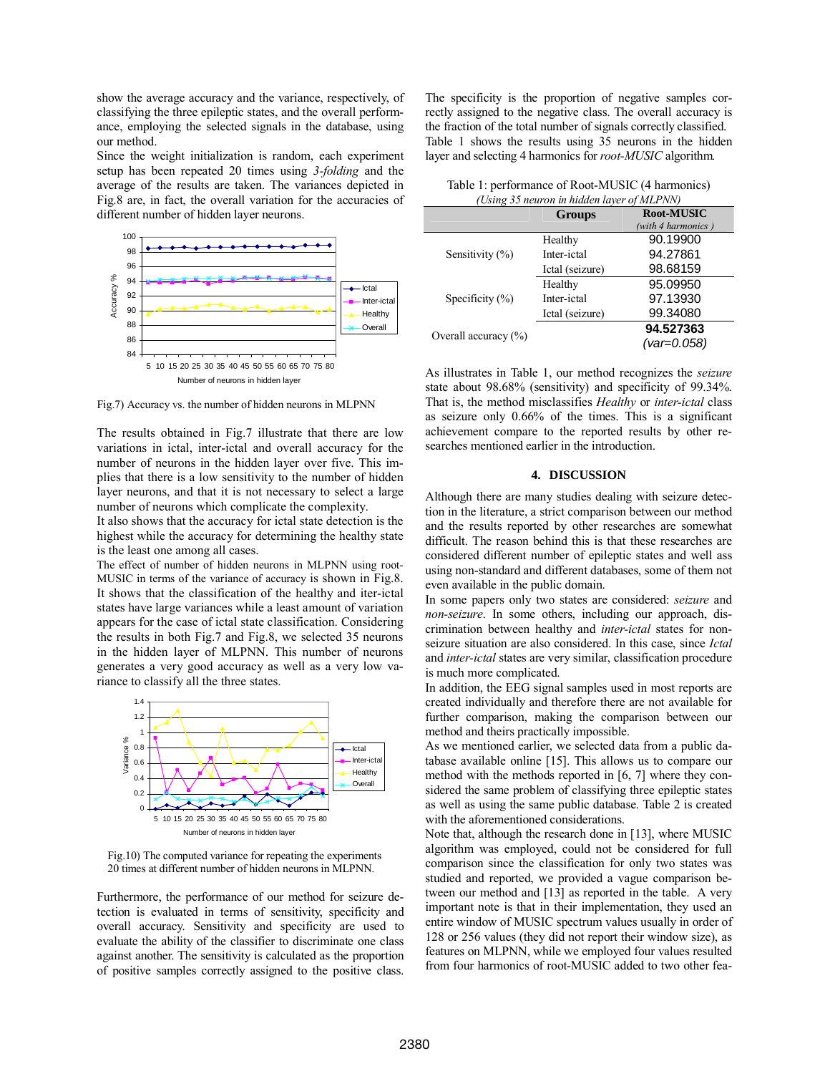show the average accuracy and the variance, respectively, of classifying the three epileptic states, and the overall performance, employing the selected signals in the database, using our method.

Since the weight initialization is random, each experiment setup has been repeated 20 times using *3-folding* and the average of the results are taken. The variances depicted in Fig.8 are, in fact, the overall variation for the accuracies of different number of hidden layer neurons.



Fig.7) Accuracy vs. the number of hidden neurons in MLPNN

The results obtained in Fig.7 illustrate that there are low variations in ictal, inter-ictal and overall accuracy for the number of neurons in the hidden layer over five. This implies that there is a low sensitivity to the number of hidden layer neurons, and that it is not necessary to select a large number of neurons which complicate the complexity.

It also shows that the accuracy for ictal state detection is the highest while the accuracy for determining the healthy state is the least one among all cases.

The effect of number of hidden neurons in MLPNN using root-MUSIC in terms of the variance of accuracy is shown in Fig.8. It shows that the classification of the healthy and iter-ictal states have large variances while a least amount of variation appears for the case of ictal state classification. Considering the results in both Fig.7 and Fig.8, we selected 35 neurons in the hidden layer of MLPNN. This number of neurons generates a very good accuracy as well as a very low variance to classify all the three states.



Fig.10) The computed variance for repeating the experiments 20 times at different number of hidden neurons in MLPNN.

Furthermore, the performance of our method for seizure detection is evaluated in terms of sensitivity, specificity and overall accuracy. Sensitivity and specificity are used to evaluate the ability of the classifier to discriminate one class against another. The sensitivity is calculated as the proportion of positive samples correctly assigned to the positive class.

The specificity is the proportion of negative samples correctly assigned to the negative class. The overall accuracy is the fraction of the total number of signals correctly classified. Table 1 shows the results using 35 neurons in the hidden layer and selecting 4 harmonics for *root-MUSIC* algorithm*.*

| Table 1: performance of Root-MUSIC (4 harmonics) |
|--------------------------------------------------|
| (Using 35 neuron in hidden layer of MLPNN)       |

| (Using 35 neuron in nidden laver of MLFTNN) |                 |                    |  |  |  |
|---------------------------------------------|-----------------|--------------------|--|--|--|
|                                             | <b>Groups</b>   | Root-MUSIC         |  |  |  |
|                                             |                 | (with 4 harmonics) |  |  |  |
| Sensitivity $(\% )$                         | Healthy         | 90.19900           |  |  |  |
|                                             | Inter-ictal     | 94.27861           |  |  |  |
|                                             | Ictal (seizure) | 98.68159           |  |  |  |
| Specificity $(\% )$                         | Healthy         | 95.09950           |  |  |  |
|                                             | Inter-ictal     | 97.13930           |  |  |  |
|                                             | Ictal (seizure) | 99.34080           |  |  |  |
| Overall accuracy $(\% )$                    |                 | 94.527363          |  |  |  |
|                                             |                 | (var=0.058)        |  |  |  |

As illustrates in Table 1, our method recognizes the *seizure* state about 98.68% (sensitivity) and specificity of 99.34%. That is, the method misclassifies *Healthy* or *inter-ictal* class as seizure only 0.66% of the times. This is a significant achievement compare to the reported results by other researches mentioned earlier in the introduction.

## **4. DISCUSSION**

Although there are many studies dealing with seizure detection in the literature, a strict comparison between our method and the results reported by other researches are somewhat difficult. The reason behind this is that these researches are considered different number of epileptic states and well ass using non-standard and different databases, some of them not even available in the public domain.

In some papers only two states are considered: *seizure* and *non-seizure*. In some others, including our approach, discrimination between healthy and *inter-ictal* states for nonseizure situation are also considered. In this case, since *Ictal* and *inter-ictal* states are very similar, classification procedure is much more complicated.

In addition, the EEG signal samples used in most reports are created individually and therefore there are not available for further comparison, making the comparison between our method and theirs practically impossible.

As we mentioned earlier, we selected data from a public database available online [15]. This allows us to compare our method with the methods reported in [6, 7] where they considered the same problem of classifying three epileptic states as well as using the same public database. Table 2 is created with the aforementioned considerations.

Note that, although the research done in [13], where MUSIC algorithm was employed, could not be considered for full comparison since the classification for only two states was studied and reported, we provided a vague comparison between our method and [13] as reported in the table. A very important note is that in their implementation, they used an entire window of MUSIC spectrum values usually in order of 128 or 256 values (they did not report their window size), as features on MLPNN, while we employed four values resulted from four harmonics of root-MUSIC added to two other fea